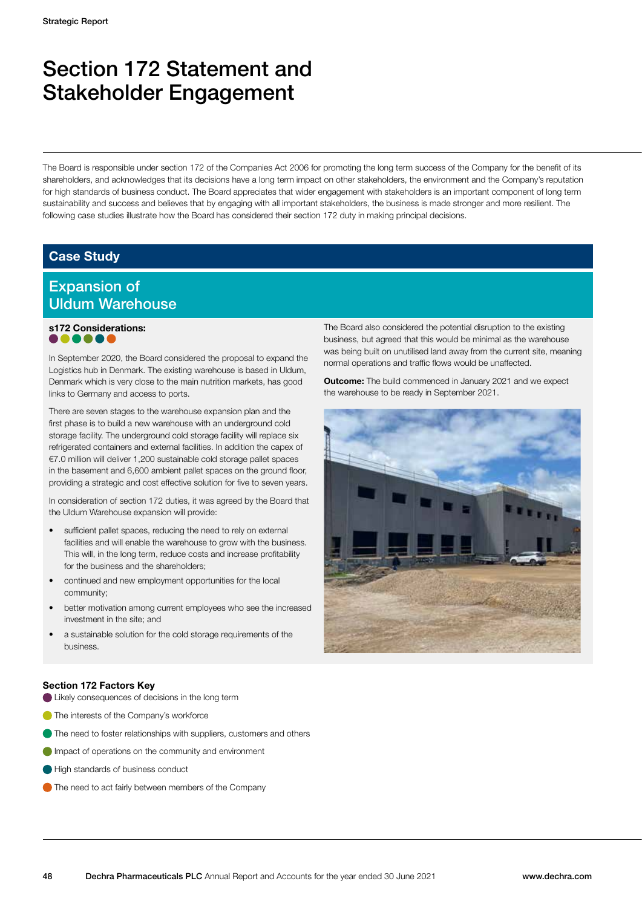## Section 172 Statement and Stakeholder Engagement

The Board is responsible under section 172 of the Companies Act 2006 for promoting the long term success of the Company for the benefit of its shareholders, and acknowledges that its decisions have a long term impact on other stakeholders, the environment and the Company's reputation for high standards of business conduct. The Board appreciates that wider engagement with stakeholders is an important component of long term sustainability and success and believes that by engaging with all important stakeholders, the business is made stronger and more resilient. The following case studies illustrate how the Board has considered their section 172 duty in making principal decisions.

#### Case Study

### Expansion of Uldum Warehouse

## s172 Considerations:

In September 2020, the Board considered the proposal to expand the Logistics hub in Denmark. The existing warehouse is based in Uldum, Denmark which is very close to the main nutrition markets, has good links to Germany and access to ports.

There are seven stages to the warehouse expansion plan and the first phase is to build a new warehouse with an underground cold storage facility. The underground cold storage facility will replace six refrigerated containers and external facilities. In addition the capex of €7.0 million will deliver 1,200 sustainable cold storage pallet spaces in the basement and 6,600 ambient pallet spaces on the ground floor, providing a strategic and cost effective solution for five to seven years.

In consideration of section 172 duties, it was agreed by the Board that the Uldum Warehouse expansion will provide:

- sufficient pallet spaces, reducing the need to rely on external facilities and will enable the warehouse to grow with the business. This will, in the long term, reduce costs and increase profitability for the business and the shareholders;
- continued and new employment opportunities for the local community;
- better motivation among current employees who see the increased investment in the site; and
- a sustainable solution for the cold storage requirements of the business.

The Board also considered the potential disruption to the existing business, but agreed that this would be minimal as the warehouse was being built on unutilised land away from the current site, meaning normal operations and traffic flows would be unaffected.

**Outcome:** The build commenced in January 2021 and we expect the warehouse to be ready in September 2021.



#### Section 172 Factors Key

- Likely consequences of decisions in the long term
- **The interests of the Company's workforce**
- The need to foster relationships with suppliers, customers and others
- **Impact of operations on the community and environment**
- High standards of business conduct
- The need to act fairly between members of the Company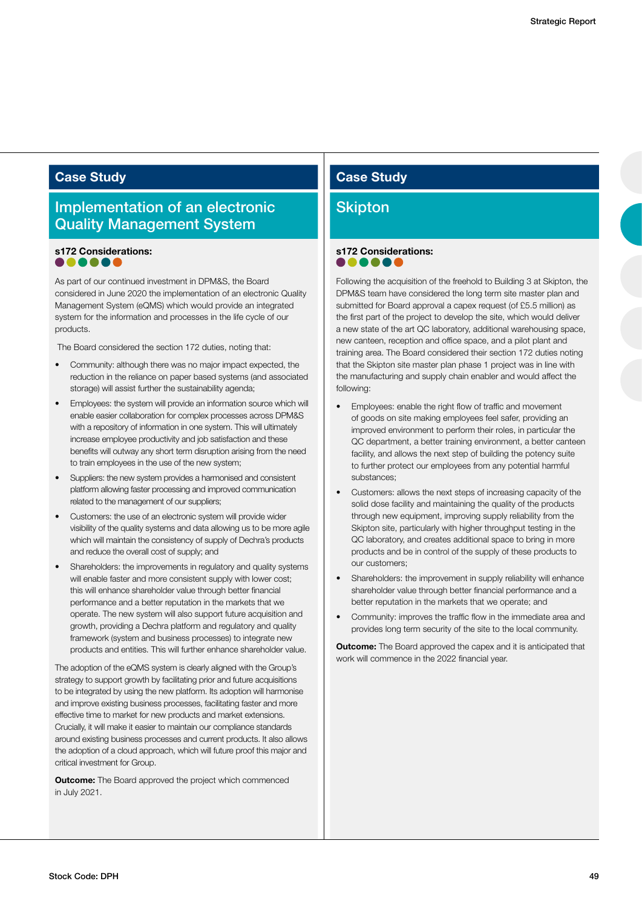#### Implementation of an electronic Quality Management System

## s172 Considerations:

As part of our continued investment in DPM&S, the Board considered in June 2020 the implementation of an electronic Quality Management System (eQMS) which would provide an integrated system for the information and processes in the life cycle of our products.

The Board considered the section 172 duties, noting that:

- Community: although there was no major impact expected, the reduction in the reliance on paper based systems (and associated storage) will assist further the sustainability agenda;
- Employees: the system will provide an information source which will enable easier collaboration for complex processes across DPM&S with a repository of information in one system. This will ultimately increase employee productivity and job satisfaction and these benefits will outway any short term disruption arising from the need to train employees in the use of the new system;
- Suppliers: the new system provides a harmonised and consistent platform allowing faster processing and improved communication related to the management of our suppliers;
- Customers: the use of an electronic system will provide wider visibility of the quality systems and data allowing us to be more agile which will maintain the consistency of supply of Dechra's products and reduce the overall cost of supply; and
- Shareholders: the improvements in regulatory and quality systems will enable faster and more consistent supply with lower cost; this will enhance shareholder value through better financial performance and a better reputation in the markets that we operate. The new system will also support future acquisition and growth, providing a Dechra platform and regulatory and quality framework (system and business processes) to integrate new products and entities. This will further enhance shareholder value.

The adoption of the eQMS system is clearly aligned with the Group's strategy to support growth by facilitating prior and future acquisitions to be integrated by using the new platform. Its adoption will harmonise and improve existing business processes, facilitating faster and more effective time to market for new products and market extensions. Crucially, it will make it easier to maintain our compliance standards around existing business processes and current products. It also allows the adoption of a cloud approach, which will future proof this major and critical investment for Group.

**Outcome:** The Board approved the project which commenced in July 2021.

## **Case Study Case Study Case Study**

#### **Skipton**

## s172 Considerations:

Following the acquisition of the freehold to Building 3 at Skipton, the DPM&S team have considered the long term site master plan and submitted for Board approval a capex request (of £5.5 million) as the first part of the project to develop the site, which would deliver a new state of the art QC laboratory, additional warehousing space, new canteen, reception and office space, and a pilot plant and training area. The Board considered their section 172 duties noting that the Skipton site master plan phase 1 project was in line with the manufacturing and supply chain enabler and would affect the following:

- Employees: enable the right flow of traffic and movement of goods on site making employees feel safer, providing an improved environment to perform their roles, in particular the QC department, a better training environment, a better canteen facility, and allows the next step of building the potency suite to further protect our employees from any potential harmful substances;
- Customers: allows the next steps of increasing capacity of the solid dose facility and maintaining the quality of the products through new equipment, improving supply reliability from the Skipton site, particularly with higher throughput testing in the QC laboratory, and creates additional space to bring in more products and be in control of the supply of these products to our customers;
- Shareholders: the improvement in supply reliability will enhance shareholder value through better financial performance and a better reputation in the markets that we operate; and
- Community: improves the traffic flow in the immediate area and provides long term security of the site to the local community.

**Outcome:** The Board approved the capex and it is anticipated that work will commence in the 2022 financial year.